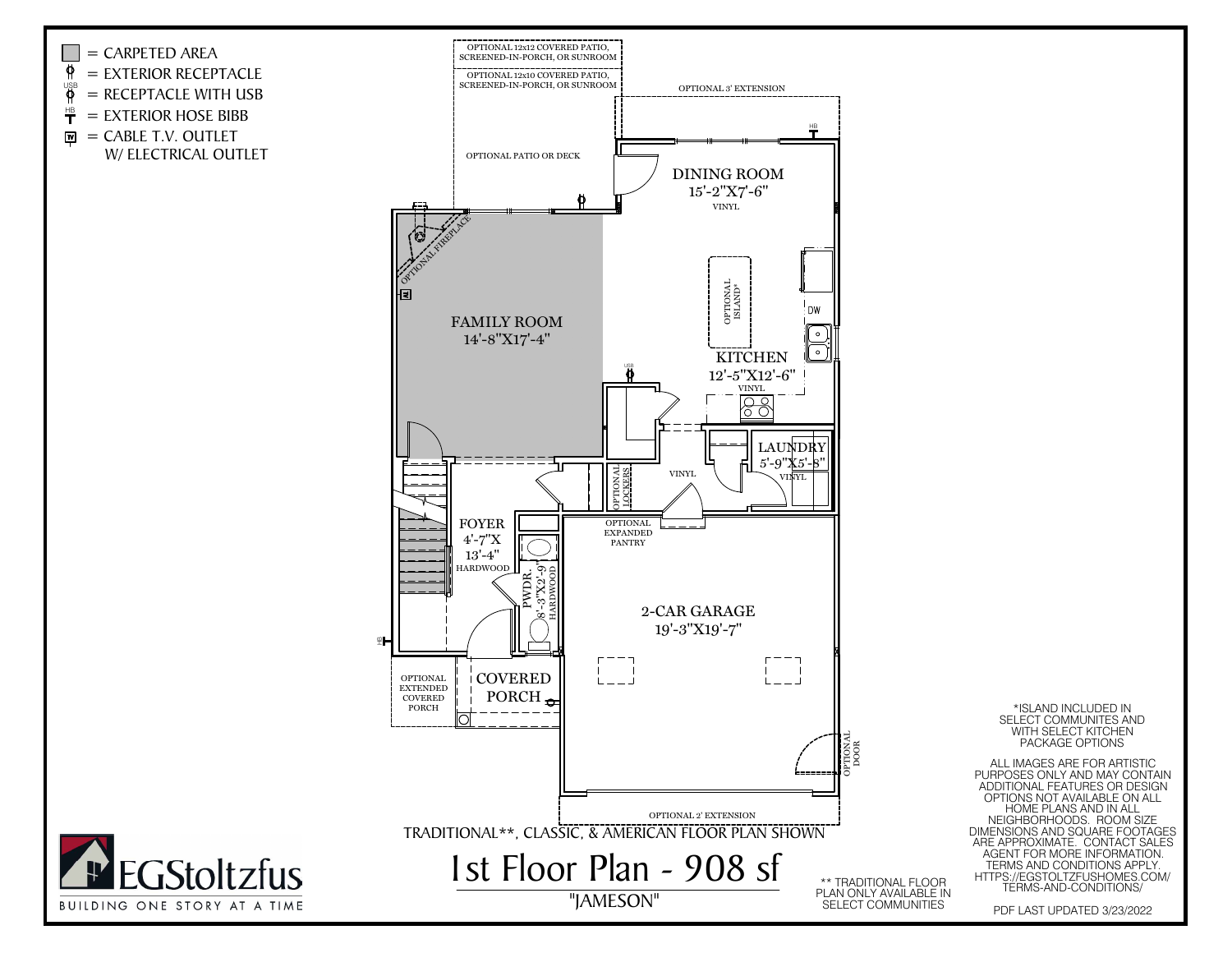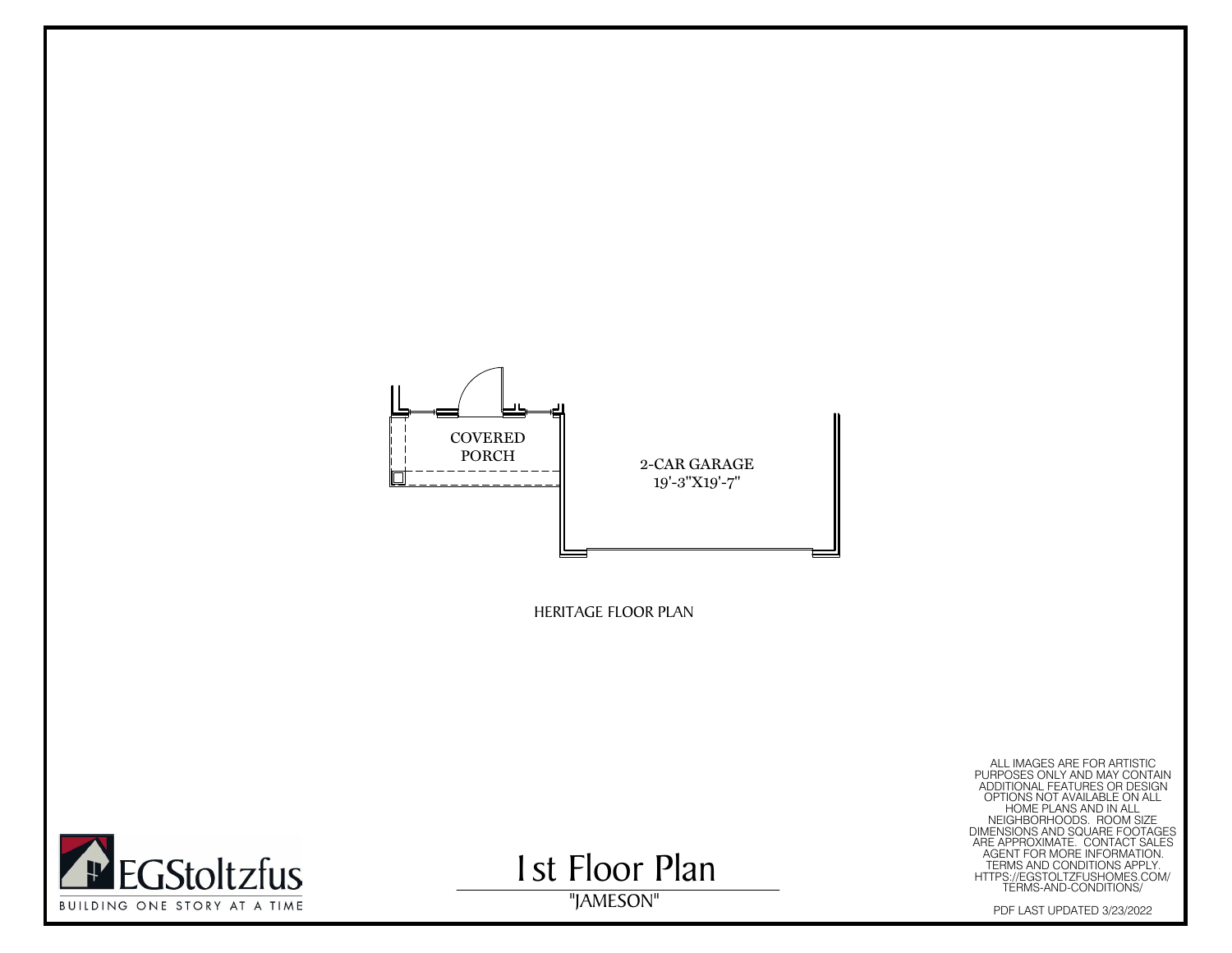



1st Floor Plan

HERITAGE FLOOR PLAN<br>
PURPOSES ONLY AND MAY CONTAIN<br>
PURPOSES ONLY AND MAY CONTAIN<br>
ALL IMAGES ARE FOR ARTISTIC<br>
PURPOSES ONLY AND IN ANDITAINAL FEATURES ON<br>
HOME PLANS AND SOLARE FOOTAGES ON<br>
HOME MANUSCONS AND SOLARE FOOT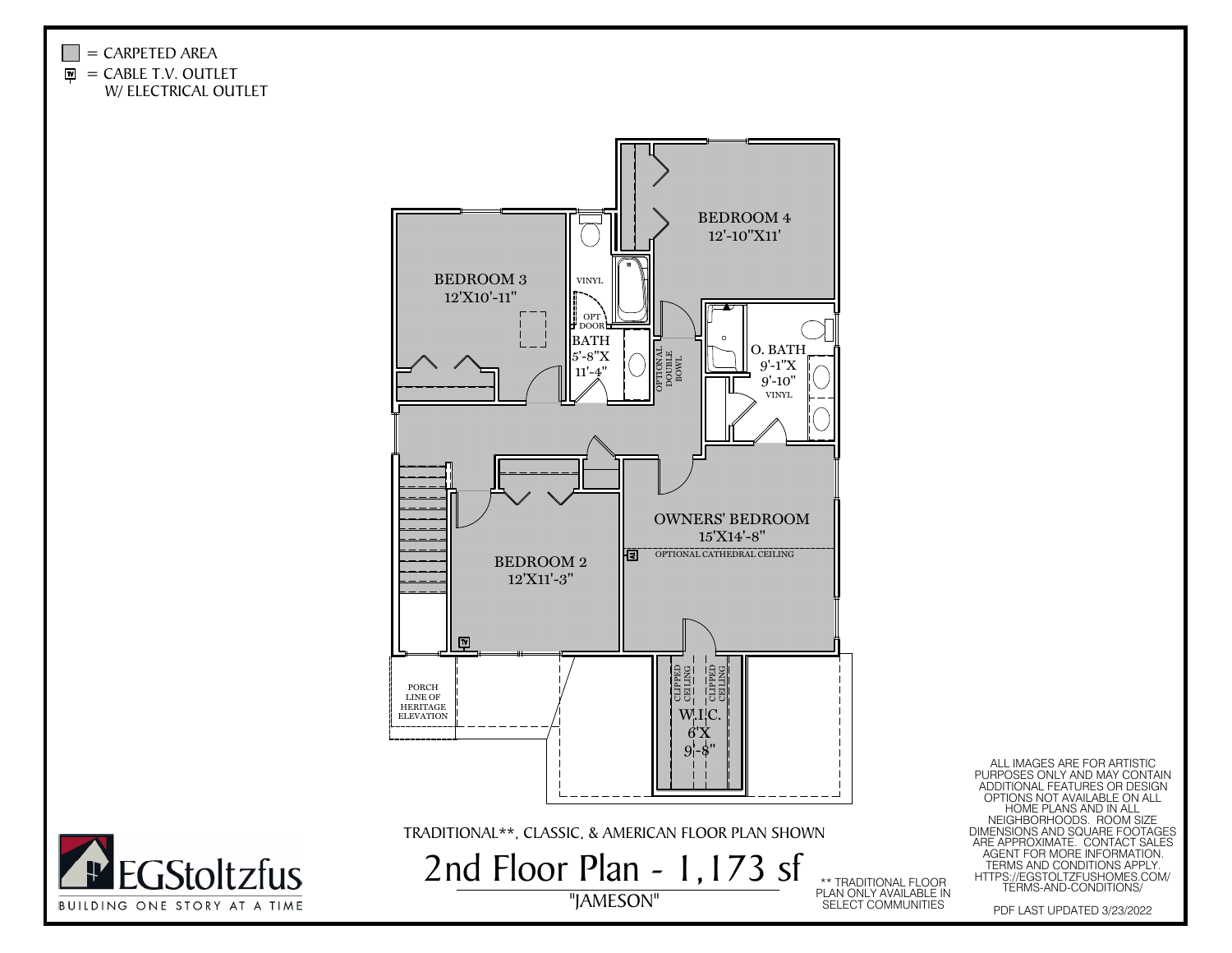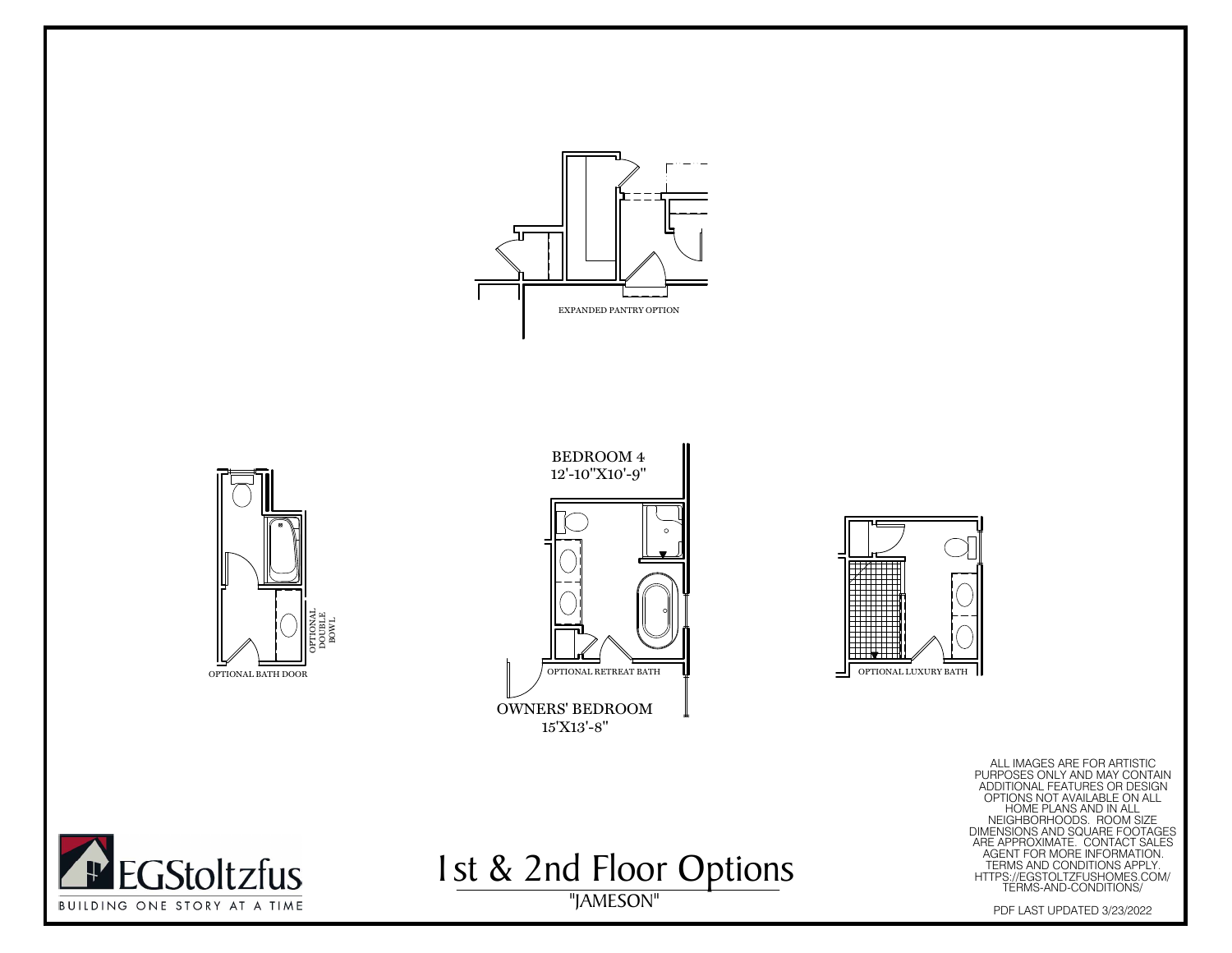







"JAMESON" ALL IMAGES ARE FOR ARTISTIC PURPOSES ONLY AND MAY CONTAIN ADDITIONAL FEATURES OR DESIGN OPTIONS NOT AVAILABLE ON ALL HOME PLANS AND IN ALL NEIGHBORHOODS. ROOM SIZE DIMENSIONS AND SQUARE FOOTAGES ARE APPROXIMATE. CONTACT SALES AGENT FOR MORE INFORMATION. TERMS AND CONDITIONS APPLY. HTTPS://EGSTOLTZFUSHOMES.COM/ TERMS-AND-CONDITIONS/ PDF LAST UPDATED 3/23/2022



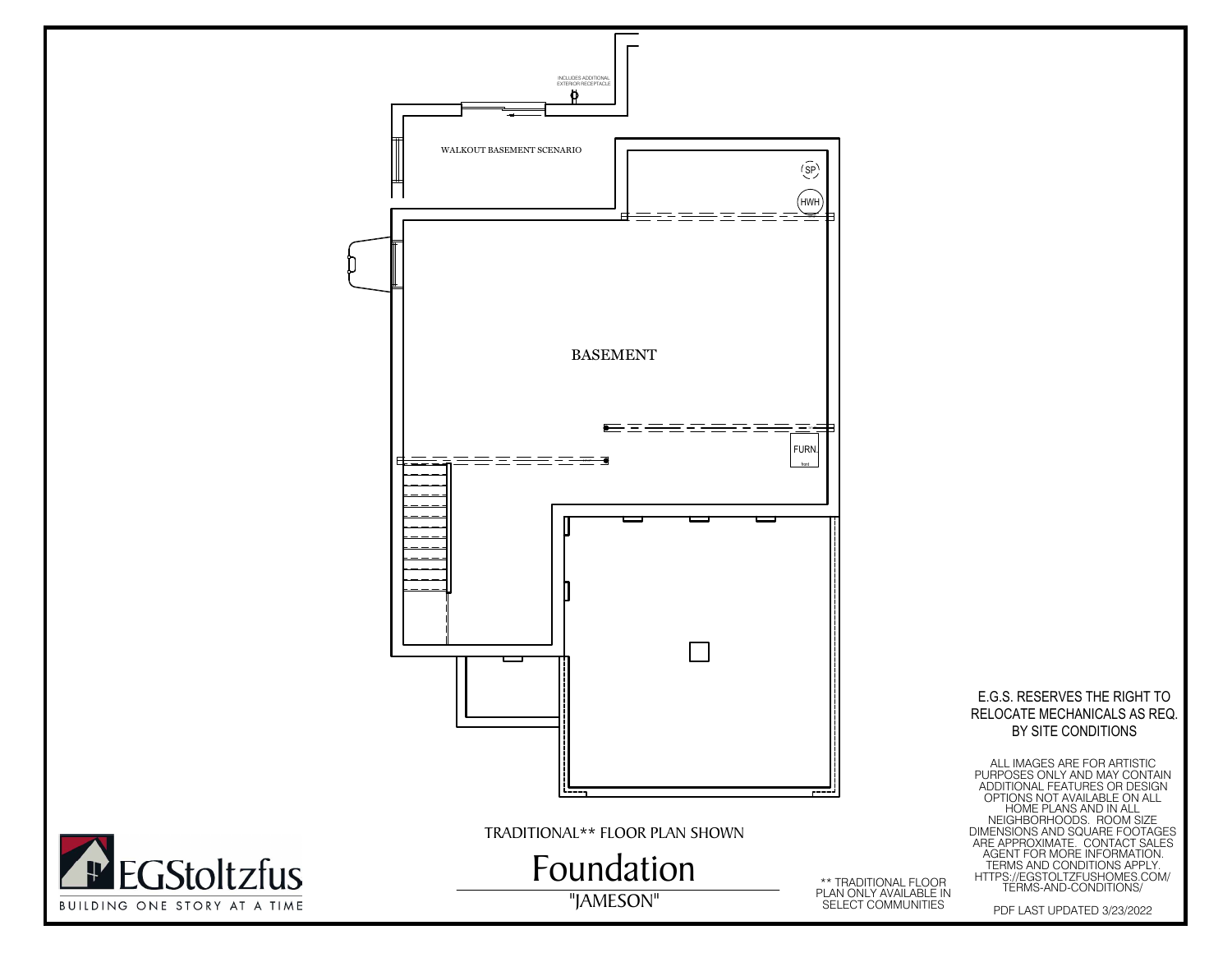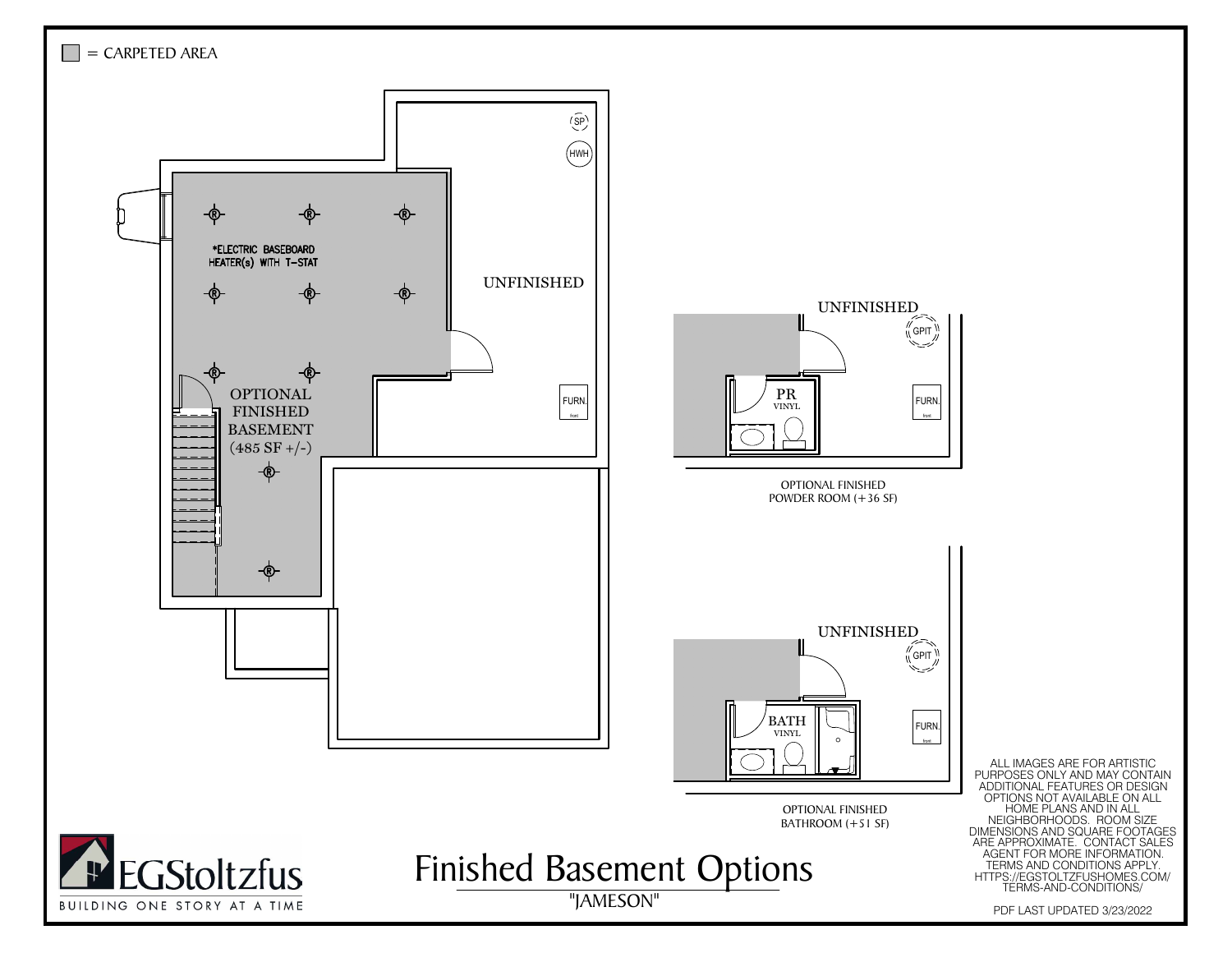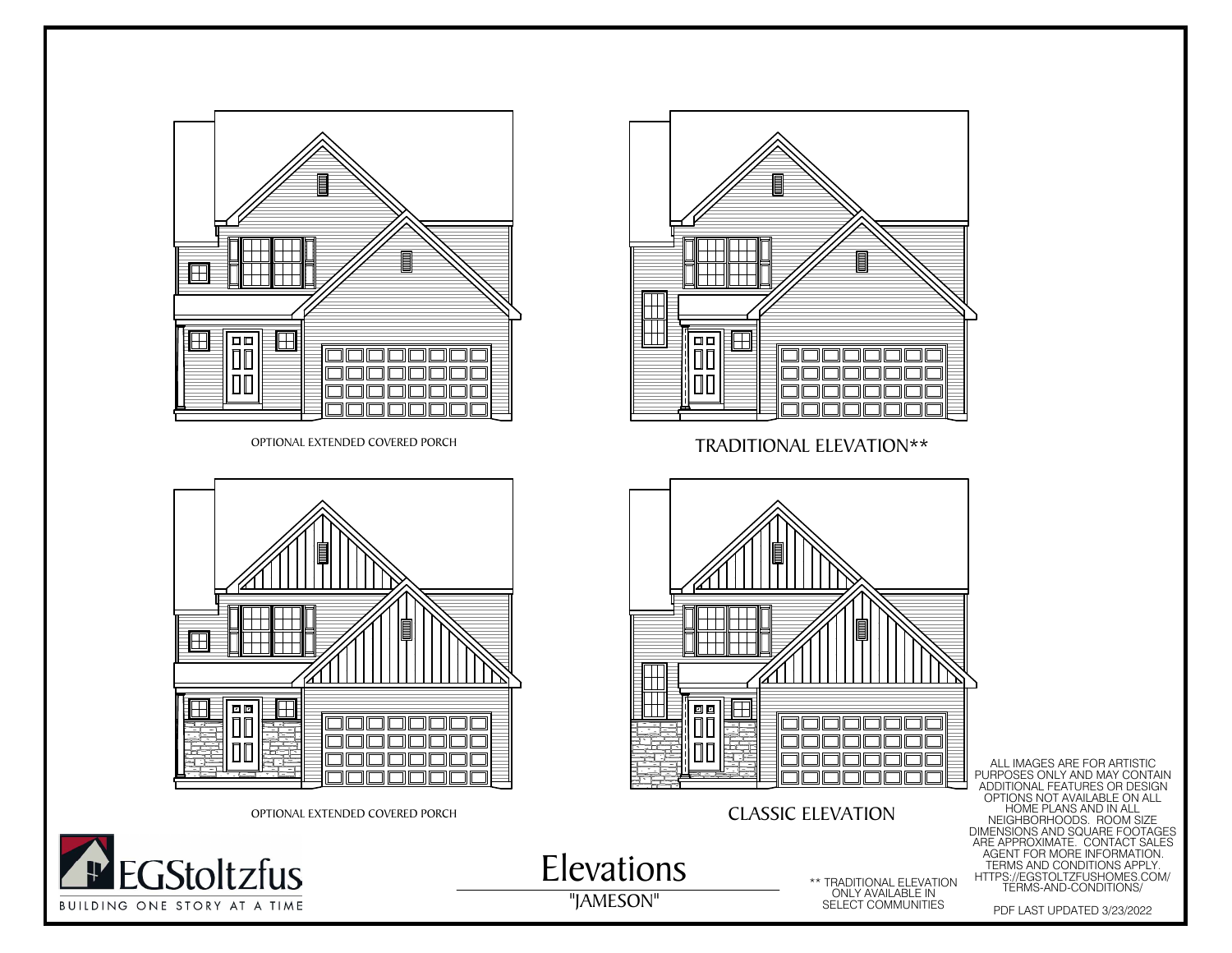







 $\mathbb{P}$ 

Elevations